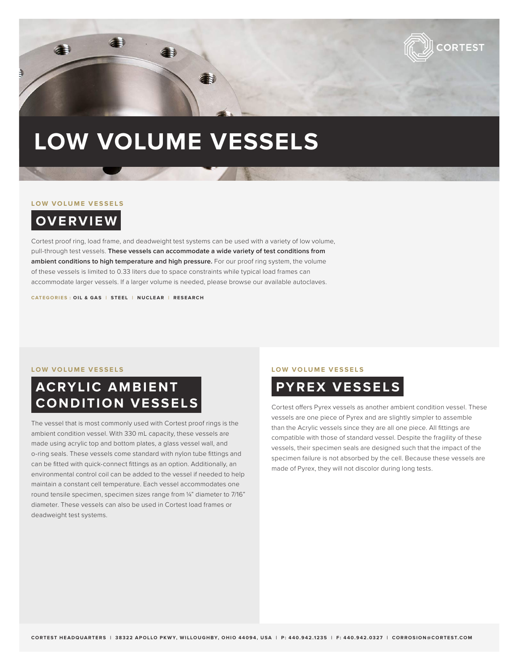

# **LOW VOLUME VESSELS**

### **LOW VOLUME VESSELS**

**OVERVIEW**

Cortest proof ring, load frame, and deadweight test systems can be used with a variety of low volume, pull-through test vessels. **These vessels can accommodate a wide variety of test conditions from ambient conditions to high temperature and high pressure.** For our proof ring system, the volume of these vessels is limited to 0.33 liters due to space constraints while typical load frames can accommodate larger vessels. If a larger volume is needed, please browse our available autoclaves.

**CATEGORIES : OIL & GAS | STEEL | NUCLEAR | RESEARCH**

### **LOW VOLUME VESSELS LOW VOLUME VESSELS**

## **ACRYLIC AMBIENT CONDITION VESSELS**

The vessel that is most commonly used with Cortest proof rings is the ambient condition vessel. With 330 mL capacity, these vessels are made using acrylic top and bottom plates, a glass vessel wall, and o-ring seals. These vessels come standard with nylon tube fittings and can be fitted with quick-connect fittings as an option. Additionally, an environmental control coil can be added to the vessel if needed to help maintain a constant cell temperature. Each vessel accommodates one round tensile specimen, specimen sizes range from ¼" diameter to 7/16" diameter. These vessels can also be used in Cortest load frames or deadweight test systems.



Cortest offers Pyrex vessels as another ambient condition vessel. These vessels are one piece of Pyrex and are slightly simpler to assemble than the Acrylic vessels since they are all one piece. All fittings are compatible with those of standard vessel. Despite the fragility of these vessels, their specimen seals are designed such that the impact of the specimen failure is not absorbed by the cell. Because these vessels are made of Pyrex, they will not discolor during long tests.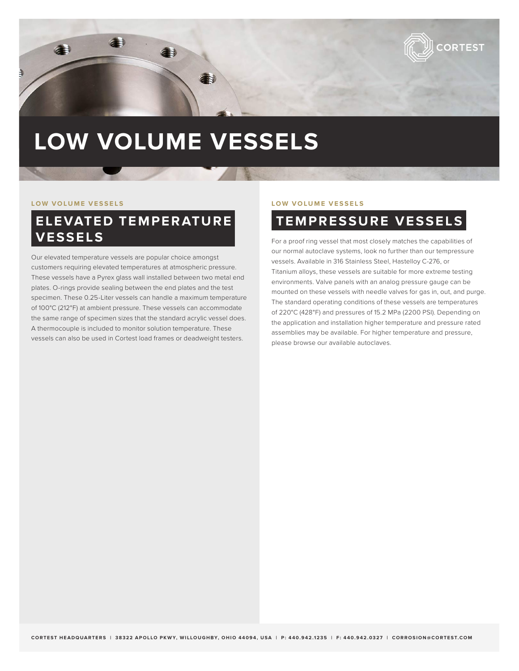

# **LOW VOLUME VESSELS**

## **ELEVATED TEMPERATURE VESSELS**

Our elevated temperature vessels are popular choice amongst customers requiring elevated temperatures at atmospheric pressure. These vessels have a Pyrex glass wall installed between two metal end plates. O-rings provide sealing between the end plates and the test specimen. These 0.25-Liter vessels can handle a maximum temperature of 100°C (212°F) at ambient pressure. These vessels can accommodate the same range of specimen sizes that the standard acrylic vessel does. A thermocouple is included to monitor solution temperature. These vessels can also be used in Cortest load frames or deadweight testers.

### **LOW VOLUME VESSELS LOW VOLUME VESSELS**

## **TEMPRESSURE VESSELS**

For a proof ring vessel that most closely matches the capabilities of our normal autoclave systems, look no further than our tempressure vessels. Available in 316 Stainless Steel, Hastelloy C-276, or Titanium alloys, these vessels are suitable for more extreme testing environments. Valve panels with an analog pressure gauge can be mounted on these vessels with needle valves for gas in, out, and purge. The standard operating conditions of these vessels are temperatures of 220°C (428°F) and pressures of 15.2 MPa (2200 PSI). Depending on the application and installation higher temperature and pressure rated assemblies may be available. For higher temperature and pressure, please browse our available autoclaves.